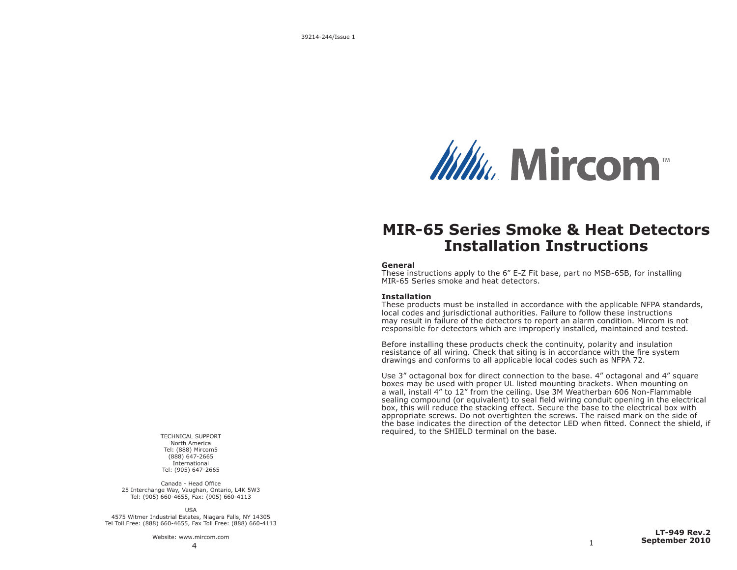

# **MIR-65 Series Smoke & Heat Detectors Installation Instructions**

#### **General**

These instructions apply to the 6" E-Z Fit base, part no MSB-65B, for installing MIR-65 Series smoke and heat detectors.

#### **Installation**

These products must be installed in accordance with the applicable NFPA standards, local codes and jurisdictional authorities. Failure to follow these instructions may result in failure of the detectors to report an alarm condition. Mircom is not responsible for detectors which are improperly installed, maintained and tested.

Before installing these products check the continuity, polarity and insulation resistance of all wiring. Check that siting is in accordance with the fire system drawings and conforms to all applicable local codes such as NFPA 72.

Use 3" octagonal box for direct connection to the base. 4" octagonal and 4" square boxes may be used with proper UL listed mounting brackets. When mounting on a wall, install 4" to 12" from the ceiling. Use 3M Weatherban 606 Non-Flammable sealing compound (or equivalent) to seal field wiring conduit opening in the electrical box, this will reduce the stacking effect. Secure the base to the electrical box with appropriate screws. Do not overtighten the screws. The raised mark on the side of the base indicates the direction of the detector LED when fitted. Connect the shield, if required, to the SHIELD terminal on the base.

TECHNICAL SUPPORT North America Tel: (888) Mircom5 (888) 647-2665 International Tel: (905) 647-2665

Canada - Head Office 25 Interchange Way, Vaughan, Ontario, L4K 5W3 Tel: (905) 660-4655, Fax: (905) 660-4113

USA 4575 Witmer Industrial Estates, Niagara Falls, NY 14305 Tel Toll Free: (888) 660-4655, Fax Toll Free: (888) 660-4113

Website: www.mircom.com